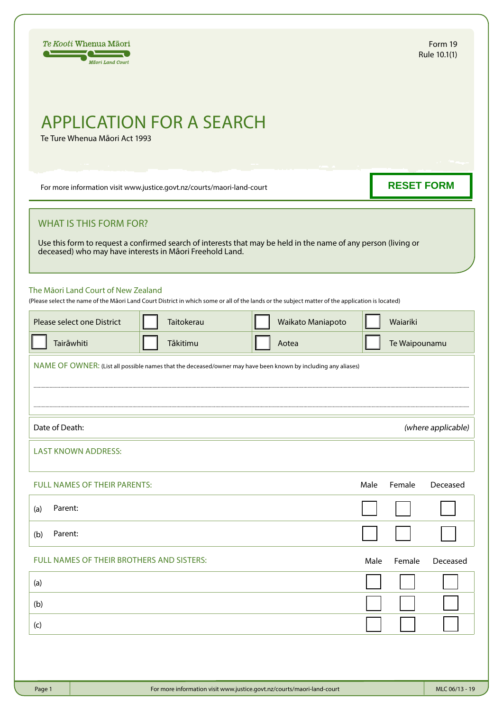

# APPLICATION FOR A SEARCH

Te Ture Whenua Māori Act 1993

For more information visit www.justice.govt.nz/courts/maori-land-court

**RESET FORM**

## WHAT IS THIS FORM FOR?

Use this form to request a confirmed search of interests that may be held in the name of any person (living or deceased) who may have interests in Māori Freehold Land.

### The Māori Land Court of New Zealand

(Please select the name of the Māori Land Court District in which some or all of the lands or the subject matter of the application is located)

| Please select one District                                                                                    | Taitokerau | Waikato Maniapoto |      | Waiariki      |                    |
|---------------------------------------------------------------------------------------------------------------|------------|-------------------|------|---------------|--------------------|
| Tairāwhiti                                                                                                    | Tākitimu   | Aotea             |      | Te Waipounamu |                    |
| NAME OF OWNER: (List all possible names that the deceased/owner may have been known by including any aliases) |            |                   |      |               |                    |
|                                                                                                               |            |                   |      |               |                    |
|                                                                                                               |            |                   |      |               |                    |
| Date of Death:                                                                                                |            |                   |      |               | (where applicable) |
| <b>LAST KNOWN ADDRESS:</b>                                                                                    |            |                   |      |               |                    |
|                                                                                                               |            |                   |      |               |                    |
| FULL NAMES OF THEIR PARENTS:                                                                                  |            |                   | Male | Female        | Deceased           |
| Parent:<br>(a)                                                                                                |            |                   |      |               |                    |
| Parent:<br>(b)                                                                                                |            |                   |      |               |                    |
| FULL NAMES OF THEIR BROTHERS AND SISTERS:                                                                     |            |                   | Male | Female        | Deceased           |
| (a)                                                                                                           |            |                   |      |               |                    |
| (b)                                                                                                           |            |                   |      |               |                    |
| (c)                                                                                                           |            |                   |      |               |                    |
|                                                                                                               |            |                   |      |               |                    |
|                                                                                                               |            |                   |      |               |                    |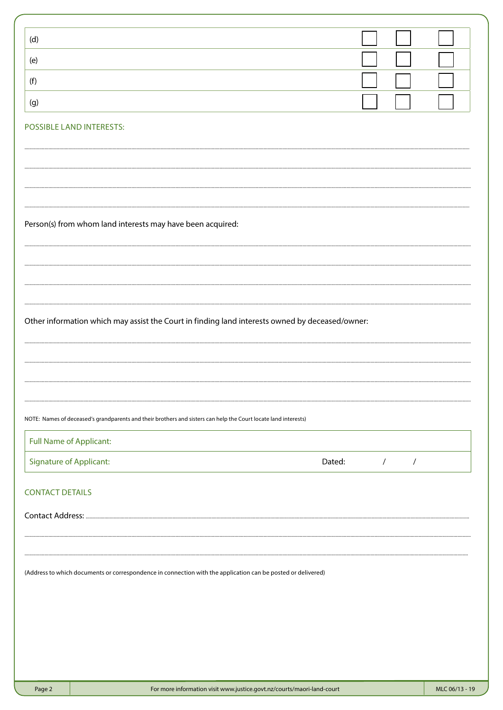| (d)                                                                                                             |        |            |            |
|-----------------------------------------------------------------------------------------------------------------|--------|------------|------------|
| (e)                                                                                                             |        |            |            |
| (f)                                                                                                             |        |            |            |
| (g)                                                                                                             |        |            |            |
| POSSIBLE LAND INTERESTS:                                                                                        |        |            |            |
|                                                                                                                 |        |            |            |
|                                                                                                                 |        |            |            |
|                                                                                                                 |        |            |            |
| Person(s) from whom land interests may have been acquired:                                                      |        |            |            |
|                                                                                                                 |        |            |            |
|                                                                                                                 |        |            |            |
|                                                                                                                 |        |            |            |
|                                                                                                                 |        |            |            |
| Other information which may assist the Court in finding land interests owned by deceased/owner:                 |        |            |            |
|                                                                                                                 |        |            |            |
|                                                                                                                 |        |            |            |
|                                                                                                                 |        |            |            |
| NOTE: Names of deceased's grandparents and their brothers and sisters can help the Court locate land interests) |        |            |            |
| <b>Full Name of Applicant:</b>                                                                                  |        |            |            |
| <b>Signature of Applicant:</b>                                                                                  | Dated: | $\sqrt{2}$ | $\sqrt{2}$ |
| <b>CONTACT DETAILS</b>                                                                                          |        |            |            |
|                                                                                                                 |        |            |            |
|                                                                                                                 |        |            |            |
|                                                                                                                 |        |            |            |
| (Address to which documents or correspondence in connection with the application can be posted or delivered)    |        |            |            |
|                                                                                                                 |        |            |            |
|                                                                                                                 |        |            |            |
|                                                                                                                 |        |            |            |
|                                                                                                                 |        |            |            |
|                                                                                                                 |        |            |            |